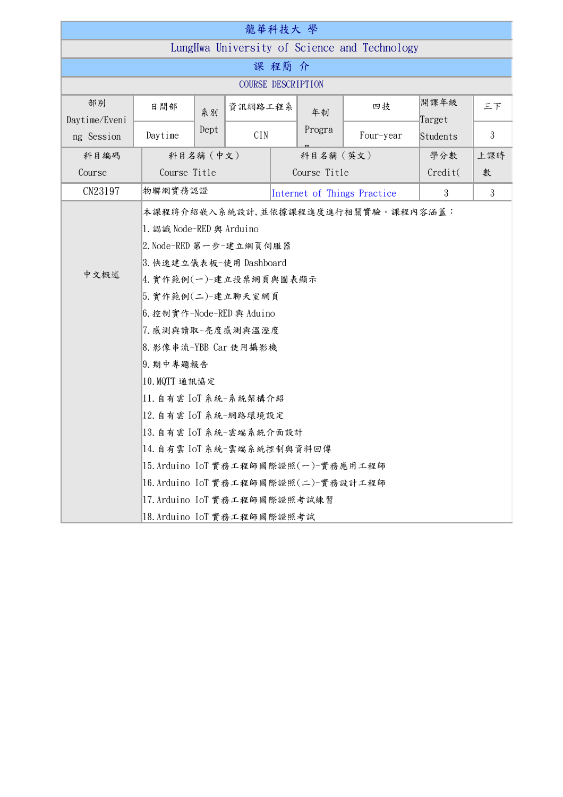|                                              |                                                                                                                                                                                                                                                                                                                                                                                                                                                                  |                         |           | 龍華科技大 學      |                                                              |                                                   |            |  |  |
|----------------------------------------------|------------------------------------------------------------------------------------------------------------------------------------------------------------------------------------------------------------------------------------------------------------------------------------------------------------------------------------------------------------------------------------------------------------------------------------------------------------------|-------------------------|-----------|--------------|--------------------------------------------------------------|---------------------------------------------------|------------|--|--|
| LungHwa University of Science and Technology |                                                                                                                                                                                                                                                                                                                                                                                                                                                                  |                         |           |              |                                                              |                                                   |            |  |  |
| 課 程簡 介                                       |                                                                                                                                                                                                                                                                                                                                                                                                                                                                  |                         |           |              |                                                              |                                                   |            |  |  |
| <b>COURSE DESCRIPTION</b>                    |                                                                                                                                                                                                                                                                                                                                                                                                                                                                  |                         |           |              |                                                              |                                                   |            |  |  |
| 日間部                                          | 系別                                                                                                                                                                                                                                                                                                                                                                                                                                                               |                         |           | 年制           | 四技                                                           | 開課年級                                              | 三下         |  |  |
| Daytime                                      | Dept                                                                                                                                                                                                                                                                                                                                                                                                                                                             | CIN                     |           | Progra       | Four-year                                                    | Students                                          | $\sqrt{3}$ |  |  |
|                                              |                                                                                                                                                                                                                                                                                                                                                                                                                                                                  |                         |           |              |                                                              | 學分數                                               | 上課時        |  |  |
|                                              |                                                                                                                                                                                                                                                                                                                                                                                                                                                                  |                         |           | Course Title |                                                              | Credit(                                           | 數          |  |  |
|                                              |                                                                                                                                                                                                                                                                                                                                                                                                                                                                  |                         |           |              |                                                              | 3                                                 | 3          |  |  |
|                                              | Internet of Things Practice<br>本課程將介紹嵌入系統設計,並依據課程進度進行相關實驗。課程內容涵蓋:<br>1. 認識 Node-RED 與 Arduino<br>2. Node-RED 第一步-建立網頁伺服器<br>3. 快速建立儀表板-使用 Dashboard<br> 4. 實作範例(一)-建立投票網頁與圖表顯示<br>5. 實作範例(二)-建立聊天室網頁<br>6. 控制實作-Node-RED 與 Aduino<br>7. 感測與讀取-亮度感測與溫溼度<br>8. 影像串流-YBB Car 使用攝影機<br>9. 期中專題報告<br>10. MQTT 通訊協定<br>11. 自有雲 IoT 系統-系統架構介紹<br>12. 自有雲 IoT 系統-網路環境設定<br>13. 自有雲 IoT 系統-雲端系統介面設計<br>14. 自有雲 IoT 系統-雲端系統控制與資料回傳<br>15. Arduino IoT 實務工程師國際證照(一)-實務應用工程師 |                         |           |              |                                                              |                                                   |            |  |  |
|                                              |                                                                                                                                                                                                                                                                                                                                                                                                                                                                  | Course Title<br>物聯網實務認證 | 科目名稱 (中文) | 資訊網路工程系      | 17. Arduino IoT 實務工程師國際證照考試練習<br>18. Arduino IoT 實務工程師國際證照考試 | 科目名稱 (英文)<br>16. Arduino IoT 實務工程師國際證照(二)-實務設計工程師 | Target     |  |  |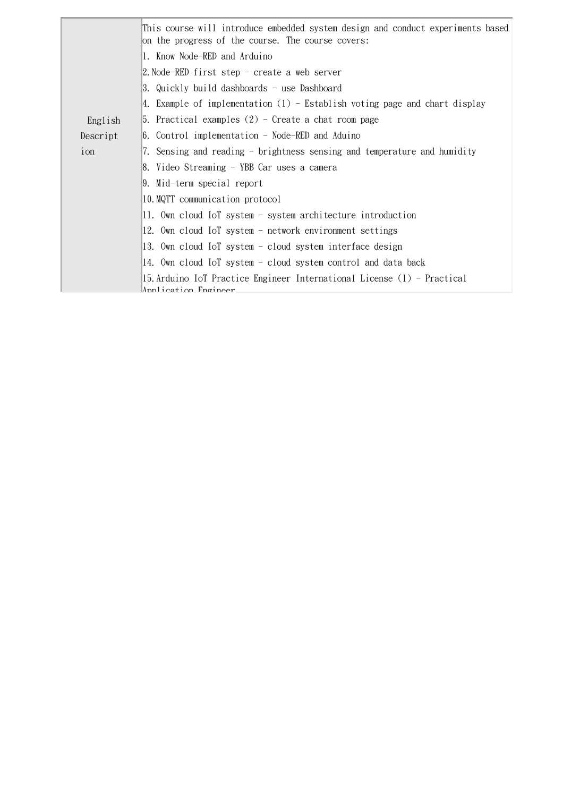|          | This course will introduce embedded system design and conduct experiments based<br>on the progress of the course. The course covers: |  |  |  |  |
|----------|--------------------------------------------------------------------------------------------------------------------------------------|--|--|--|--|
|          | 1. Know Node-RED and Arduino                                                                                                         |  |  |  |  |
|          | 2. Node-RED first step – create a web server                                                                                         |  |  |  |  |
|          | 3. Quickly build dashboards - use Dashboard                                                                                          |  |  |  |  |
|          | 4. Example of implementation $(1)$ - Establish voting page and chart display                                                         |  |  |  |  |
| English  | $5.$ Practical examples (2) - Create a chat room page                                                                                |  |  |  |  |
| Descript | $\vert 6.$ Control implementation - Node-RED and Aduino                                                                              |  |  |  |  |
| ion      | 7. Sensing and reading - brightness sensing and temperature and humidity                                                             |  |  |  |  |
|          | 8. Video Streaming - YBB Car uses a camera                                                                                           |  |  |  |  |
|          | 9. Mid-term special report                                                                                                           |  |  |  |  |
|          | 10. MQTT communication protocol                                                                                                      |  |  |  |  |
|          | $ 11$ . Own cloud IoT system - system architecture introduction                                                                      |  |  |  |  |
|          | $ 12$ . Own cloud IoT system - network environment settings                                                                          |  |  |  |  |
|          | $ 13.$ Own cloud IoT system - cloud system interface design                                                                          |  |  |  |  |
|          | 14. Own cloud IoT system - cloud system control and data back                                                                        |  |  |  |  |
|          | 15. Arduino IoT Practice Engineer International License $(1)$ - Practical<br>Annlication Fraineer                                    |  |  |  |  |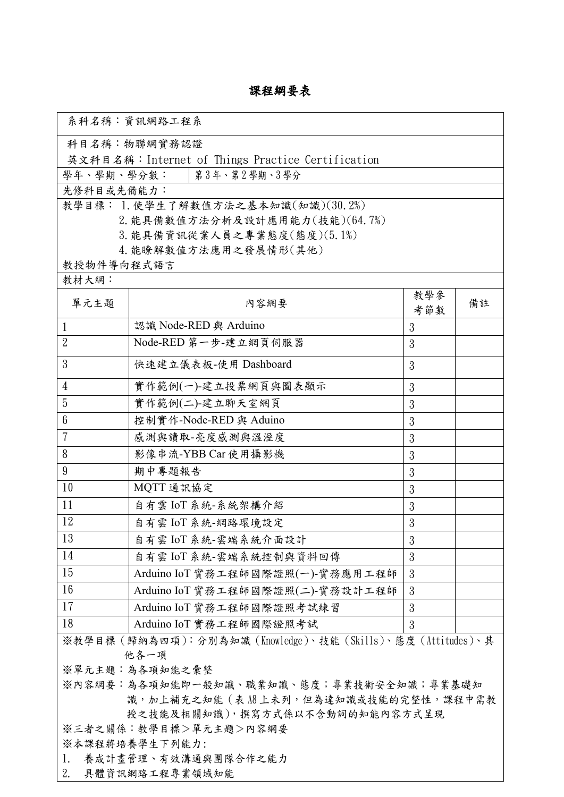## 課程綱要表

| 系科名稱:資訊網路工程系                                                                         |                                    |            |    |  |  |
|--------------------------------------------------------------------------------------|------------------------------------|------------|----|--|--|
| 科目名稱:物聯網實務認證                                                                         |                                    |            |    |  |  |
| 英文科目名稱:Internet of Things Practice Certification                                     |                                    |            |    |  |  |
| 學年、學期、學分數:  第3年、第2學期、3學分                                                             |                                    |            |    |  |  |
| 先修科目或先備能力:                                                                           |                                    |            |    |  |  |
|                                                                                      | 教學目標: 1. 使學生了解數值方法之基本知識(知識)(30.2%) |            |    |  |  |
|                                                                                      | 2. 能具備數值方法分析及設計應用能力(技能)(64.7%)     |            |    |  |  |
|                                                                                      | 3. 能具備資訊從業人員之專業態度(態度)(5.1%)        |            |    |  |  |
|                                                                                      | 4. 能瞭解數值方法應用之發展情形(其他)              |            |    |  |  |
| 教授物件導向程式語言                                                                           |                                    |            |    |  |  |
| 教材大網:                                                                                |                                    | 教學參        |    |  |  |
| 單元主題                                                                                 | 內容網要                               | 考節數        | 備註 |  |  |
| $\mathbf{1}$                                                                         | 認識 Node-RED 與 Arduino              | 3          |    |  |  |
| $\overline{2}$                                                                       | Node-RED 第一步-建立網頁伺服器               | 3          |    |  |  |
| 3                                                                                    | 快速建立儀表板-使用 Dashboard               | 3          |    |  |  |
| $\overline{4}$                                                                       | 實作範例(一)-建立投票網頁與圖表顯示                | 3          |    |  |  |
| 5                                                                                    | 實作範例(二)-建立聊天室網頁                    | 3          |    |  |  |
| $6\phantom{1}$                                                                       | 控制實作-Node-RED 與 Aduino             | 3          |    |  |  |
| 7                                                                                    | 感測與讀取-亮度感測與溫溼度                     | 3          |    |  |  |
| 8                                                                                    | 影像串流-YBB Car 使用攝影機                 | 3          |    |  |  |
| 9                                                                                    | 期中專題報告                             | 3          |    |  |  |
| 10                                                                                   | MQTT 通訊協定                          | 3          |    |  |  |
| 11                                                                                   | 自有雲 IoT 系統-系統架構介紹                  | 3          |    |  |  |
| 12                                                                                   | 自有雲 IoT 系統-網路環境設定                  | 3          |    |  |  |
| 13                                                                                   | 自有雲 IoT 系統-雲端系統介面設計                | $\sqrt{3}$ |    |  |  |
| 14                                                                                   | 自有雲 IoT 系統-雲端系統控制與資料回傳             | 3          |    |  |  |
| 15                                                                                   | Arduino IoT 實務工程師國際證照(一)-實務應用工程師   | 3          |    |  |  |
| 16                                                                                   | Arduino IoT 實務工程師國際證照(二)-實務設計工程師   | 3          |    |  |  |
| 17                                                                                   | Arduino IoT 實務工程師國際證照考試練習          | 3          |    |  |  |
| 18                                                                                   | Arduino IoT 實務工程師國際證照考試            | 3          |    |  |  |
| ※教學目標 (歸納為四項):分別為知識 (Knowledge)、技能 (Skills)、態度 (Attitudes)、其                         |                                    |            |    |  |  |
| 他各一項                                                                                 |                                    |            |    |  |  |
| ※單元主題:為各項知能之彙整                                                                       |                                    |            |    |  |  |
| ※內容網要:為各項知能即一般知識、職業知識、態度;專業技術安全知識;專業基礎知<br>識, 加上補充之知能 (表 A8 上未列, 但為達知識或技能的完整性, 課程中需教 |                                    |            |    |  |  |
| 授之技能及相關知識),撰寫方式係以不含動詞的知能內容方式呈現                                                       |                                    |            |    |  |  |
| ※三者之關係:教學目標>單元主題>內容網要                                                                |                                    |            |    |  |  |
| ※本課程將培養學生下列能力:                                                                       |                                    |            |    |  |  |
| 養成計畫管理、有效溝通與團隊合作之能力<br>1.                                                            |                                    |            |    |  |  |
| 2.<br>具體資訊網路工程專業領域知能                                                                 |                                    |            |    |  |  |